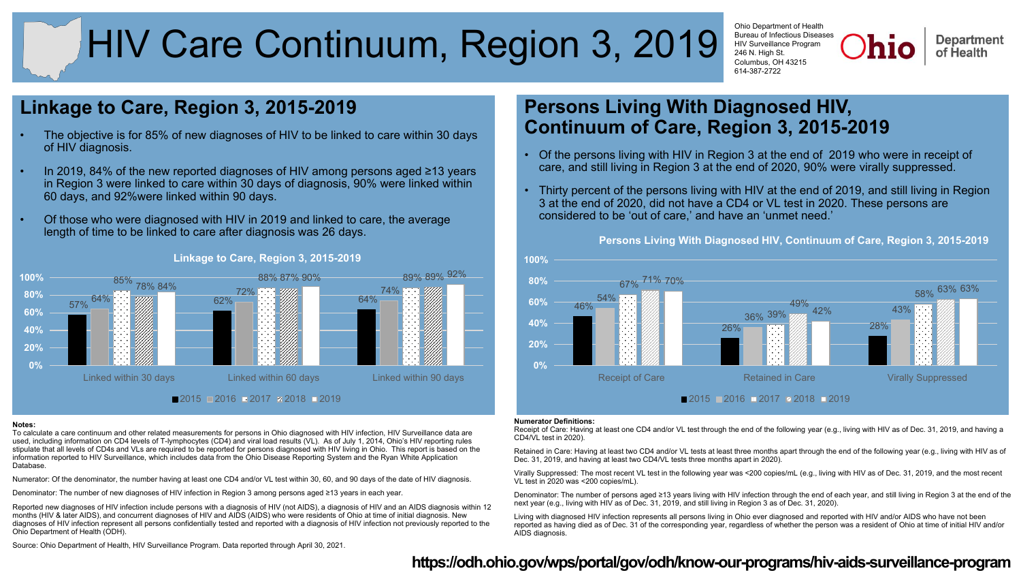# HIV Care Continuum, Region 3, 2019

Ohio Department of Health Bureau of Infectious Diseases HIV Surveillance Program 246 N. High St. Columbus, OH 43215 614-387-2722

**Department** of Health

### **Linkage to Care, Region 3, 2015-2019**

- The objective is for 85% of new diagnoses of HIV to be linked to care within 30 days of HIV diagnosis.
- In 2019, 84% of the new reported diagnoses of HIV among persons aged ≥13 years in Region 3 were linked to care within 30 days of diagnosis, 90% were linked within 60 days, and 92%were linked within 90 days.
- Of those who were diagnosed with HIV in 2019 and linked to care, the average length of time to be linked to care after diagnosis was 26 days.



### **Linkage to Care, Region 3, 2015-2019**

#### **Notes:**

To calculate a care continuum and other related measurements for persons in Ohio diagnosed with HIV infection, HIV Surveillance data are used, including information on CD4 levels of T-lymphocytes (CD4) and viral load results (VL). As of July 1, 2014, Ohio's HIV reporting rules stipulate that all levels of CD4s and VLs are required to be reported for persons diagnosed with HIV living in Ohio. This report is based on the information reported to HIV Surveillance, which includes data from the Ohio Disease Reporting System and the Ryan White Application Database.

Numerator: Of the denominator, the number having at least one CD4 and/or VL test within 30, 60, and 90 days of the date of HIV diagnosis.

Denominator: The number of new diagnoses of HIV infection in Region 3 among persons aged ≥13 years in each year.

Reported new diagnoses of HIV infection include persons with a diagnosis of HIV (not AIDS), a diagnosis of HIV and an AIDS diagnosis within 12 months (HIV & later AIDS), and concurrent diagnoses of HIV and AIDS (AIDS) who were residents of Ohio at time of initial diagnosis. New diagnoses of HIV infection represent all persons confidentially tested and reported with a diagnosis of HIV infection not previously reported to the Ohio Department of Health (ODH).

Source: Ohio Department of Health, HIV Surveillance Program. Data reported through April 30, 2021.

### **Persons Living With Diagnosed HIV, Continuum of Care, Region 3, 2015-2019**

- Of the persons living with HIV in Region 3 at the end of 2019 who were in receipt of care, and still living in Region 3 at the end of 2020, 90% were virally suppressed.
- Thirty percent of the persons living with HIV at the end of 2019, and still living in Region 3 at the end of 2020, did not have a CD4 or VL test in 2020. These persons are considered to be 'out of care,' and have an 'unmet need.'



## **Persons Living With Diagnosed HIV, Continuum of Care, Region 3, 2015-2019**

#### **Numerator Definitions:**

Receipt of Care: Having at least one CD4 and/or VL test through the end of the following year (e.g., living with HIV as of Dec. 31, 2019, and having a CD4/VL test in 2020).

Retained in Care: Having at least two CD4 and/or VL tests at least three months apart through the end of the following year (e.g., living with HIV as of Dec. 31, 2019, and having at least two CD4/VL tests three months apart in 2020).

Virally Suppressed: The most recent VL test in the following year was <200 copies/mL (e.g., living with HIV as of Dec. 31, 2019, and the most recent VL test in 2020 was <200 copies/mL).

Denominator: The number of persons aged ≥13 years living with HIV infection through the end of each year, and still living in Region 3 at the end of the next year (e.g., living with HIV as of Dec. 31, 2019, and still living in Region 3 as of Dec. 31, 2020).

Living with diagnosed HIV infection represents all persons living in Ohio ever diagnosed and reported with HIV and/or AIDS who have not been reported as having died as of Dec. 31 of the corresponding year, regardless of whether the person was a resident of Ohio at time of initial HIV and/or AIDS diagnosis.

### **<https://odh.ohio.gov/wps/portal/gov/odh/know-our-programs/hiv-aids-surveillance-program>**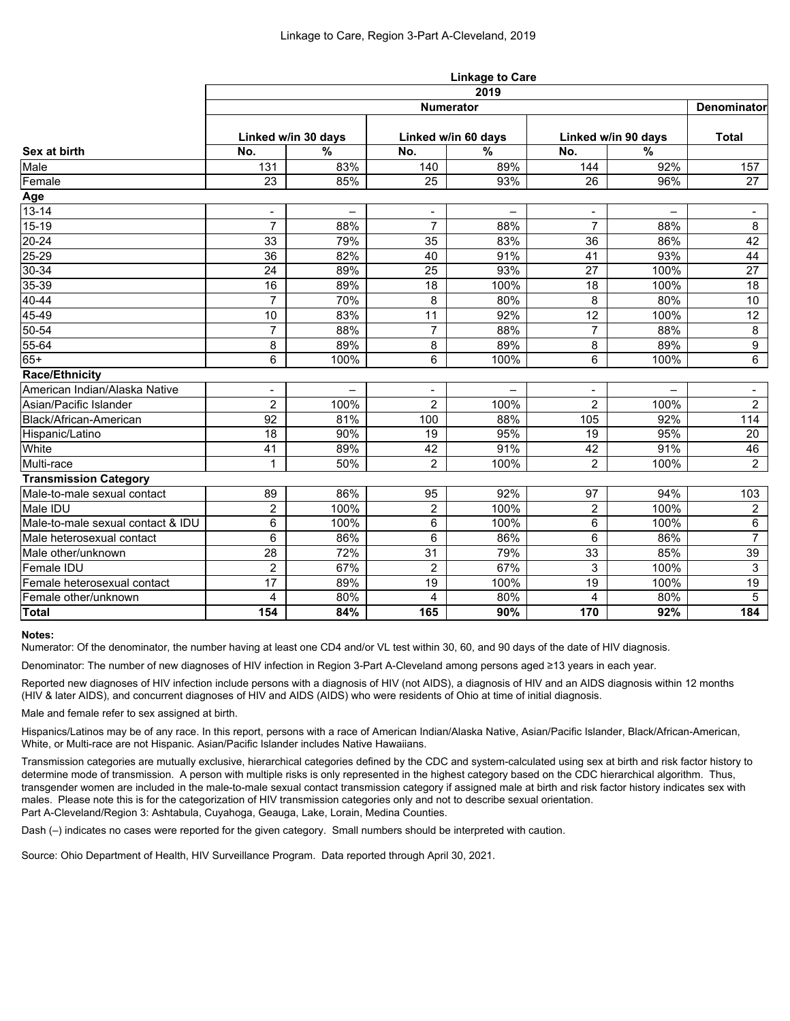|                                   | <b>Linkage to Care</b><br>2019 |                          |                |                          |                |                     |                |  |  |  |
|-----------------------------------|--------------------------------|--------------------------|----------------|--------------------------|----------------|---------------------|----------------|--|--|--|
|                                   |                                |                          |                |                          |                |                     |                |  |  |  |
| Sex at birth                      | <b>Numerator</b>               |                          |                |                          |                |                     |                |  |  |  |
|                                   | Linked w/in 30 days            |                          |                | Linked w/in 60 days      |                | Linked w/in 90 days |                |  |  |  |
|                                   | No.                            | $\frac{0}{0}$            | No.            | $\frac{0}{0}$            | No.            | $\frac{0}{0}$       |                |  |  |  |
| Male                              | 131                            | 83%                      | 140            | 89%                      | 144            | 92%                 | 157            |  |  |  |
| Female                            | 23                             | 85%                      | 25             | 93%                      | 26             | 96%                 | 27             |  |  |  |
| Age                               |                                |                          |                |                          |                |                     |                |  |  |  |
| $13 - 14$                         | $\blacksquare$                 | $\overline{\phantom{0}}$ | $\blacksquare$ | $\overline{\phantom{0}}$ | ۰              |                     | $\blacksquare$ |  |  |  |
| $15 - 19$                         | $\overline{7}$                 | 88%                      | $\overline{7}$ | 88%                      | $\overline{7}$ | 88%                 | 8              |  |  |  |
| $20 - 24$                         | 33                             | 79%                      | 35             | 83%                      | 36             | 86%                 | 42             |  |  |  |
| $25 - 29$                         | 36                             | 82%                      | 40             | 91%                      | 41             | 93%                 | 44             |  |  |  |
| $30 - 34$                         | 24                             | 89%                      | 25             | 93%                      | 27             | 100%                | 27             |  |  |  |
| $35 - 39$                         | 16                             | 89%                      | 18             | 100%                     | 18             | 100%                | 18             |  |  |  |
| 40-44                             | $\overline{7}$                 | 70%                      | 8              | 80%                      | 8              | 80%                 | 10             |  |  |  |
| 45-49                             | 10                             | 83%                      | 11             | 92%                      | 12             | 100%                | 12             |  |  |  |
| 50-54                             | $\overline{7}$                 | 88%                      | $\overline{7}$ | 88%                      | $\overline{7}$ | 88%                 | 8              |  |  |  |
| 55-64                             | 8                              | 89%                      | 8              | 89%                      | 8              | 89%                 | 9              |  |  |  |
| $65+$                             | 6                              | 100%                     | 6              | 100%                     | 6              | 100%                | 6              |  |  |  |
| <b>Race/Ethnicity</b>             |                                |                          |                |                          |                |                     |                |  |  |  |
| American Indian/Alaska Native     | $\blacksquare$                 |                          |                |                          |                |                     | $\blacksquare$ |  |  |  |
| Asian/Pacific Islander            | $\overline{2}$                 | 100%                     | $\overline{2}$ | 100%                     | $\overline{2}$ | 100%                | $\overline{2}$ |  |  |  |
| Black/African-American            | 92                             | 81%                      | 100            | 88%                      | 105            | 92%                 | 114            |  |  |  |
| Hispanic/Latino                   | 18                             | 90%                      | 19             | 95%                      | 19             | 95%                 | 20             |  |  |  |
| White                             | 41                             | 89%                      | 42             | 91%                      | 42             | 91%                 | 46             |  |  |  |
| Multi-race                        | 1                              | 50%                      | $\overline{2}$ | 100%                     | $\overline{2}$ | 100%                | $2^{\circ}$    |  |  |  |
| <b>Transmission Category</b>      |                                |                          |                |                          |                |                     |                |  |  |  |
| Male-to-male sexual contact       | 89                             | 86%                      | 95             | 92%                      | 97             | 94%                 | 103            |  |  |  |
| Male IDU                          | $\overline{2}$                 | 100%                     | $\overline{2}$ | 100%                     | $\overline{2}$ | 100%                | $\overline{2}$ |  |  |  |
| Male-to-male sexual contact & IDU | 6                              | 100%                     | 6              | 100%                     | 6              | 100%                | $6\phantom{1}$ |  |  |  |
| Male heterosexual contact         | 6                              | 86%                      | $\,6\,$        | 86%                      | 6              | 86%                 | $\overline{7}$ |  |  |  |
| Male other/unknown                | 28                             | 72%                      | 31             | 79%                      | 33             | 85%                 | 39             |  |  |  |
| Female IDU                        | $\overline{2}$                 | 67%                      | $\overline{2}$ | 67%                      | 3              | 100%                | $\mathbf{3}$   |  |  |  |
| Female heterosexual contact       | 17                             | 89%                      | 19             | 100%                     | 19             | 100%                | 19             |  |  |  |
| Female other/unknown              | 4                              | 80%                      | 4              | 80%                      | 4              | 80%                 | 5              |  |  |  |
| <b>Total</b>                      | 154                            | 84%                      | 165            | 90%                      | 170            | 92%                 | 184            |  |  |  |

### **Notes:**

Numerator: Of the denominator, the number having at least one CD4 and/or VL test within 30, 60, and 90 days of the date of HIV diagnosis.

Denominator: The number of new diagnoses of HIV infection in Region 3-Part A-Cleveland among persons aged ≥13 years in each year.

Reported new diagnoses of HIV infection include persons with a diagnosis of HIV (not AIDS), a diagnosis of HIV and an AIDS diagnosis within 12 months (HIV & later AIDS), and concurrent diagnoses of HIV and AIDS (AIDS) who were residents of Ohio at time of initial diagnosis.

Male and female refer to sex assigned at birth.

Hispanics/Latinos may be of any race. In this report, persons with a race of American Indian/Alaska Native, Asian/Pacific Islander, Black/African-American, White, or Multi-race are not Hispanic. Asian/Pacific Islander includes Native Hawaiians.

Transmission categories are mutually exclusive, hierarchical categories defined by the CDC and system-calculated using sex at birth and risk factor history to determine mode of transmission. A person with multiple risks is only represented in the highest category based on the CDC hierarchical algorithm. Thus, transgender women are included in the male-to-male sexual contact transmission category if assigned male at birth and risk factor history indicates sex with males. Please note this is for the categorization of HIV transmission categories only and not to describe sexual orientation. Part A-Cleveland/Region 3: Ashtabula, Cuyahoga, Geauga, Lake, Lorain, Medina Counties.

Dash (–) indicates no cases were reported for the given category. Small numbers should be interpreted with caution.

Source: Ohio Department of Health, HIV Surveillance Program. Data reported through April 30, 2021.